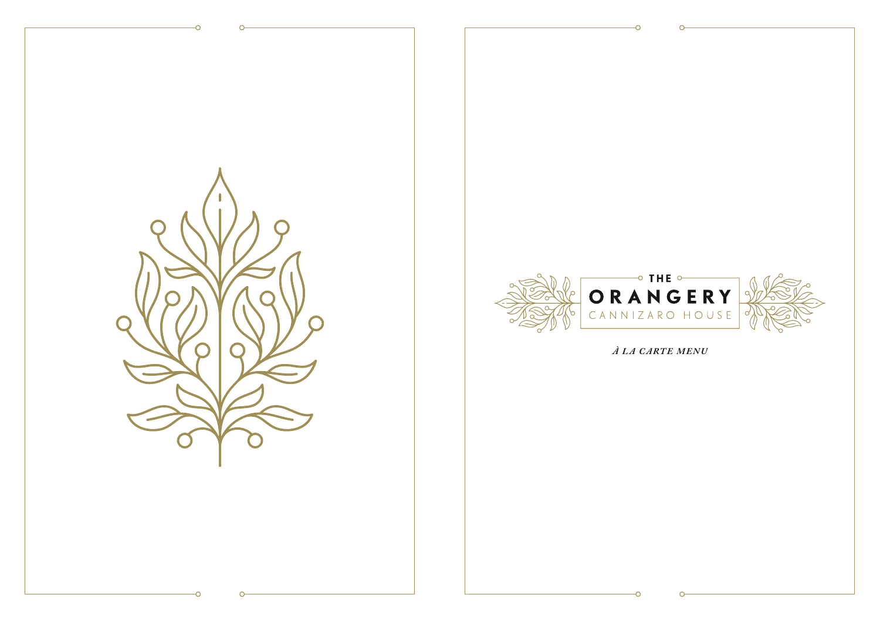



À LA CARTE MENU